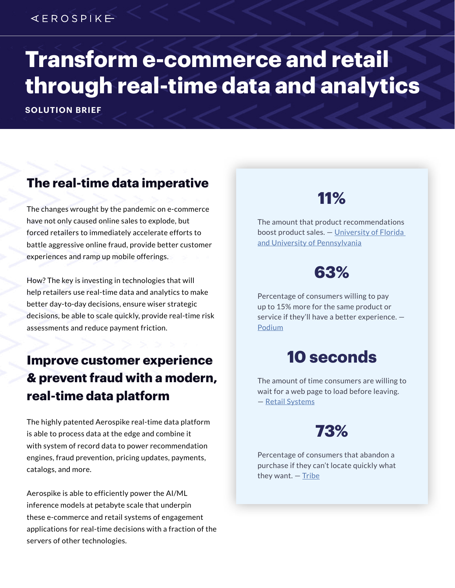### $4EROSPIKE$

# **Transform e-commerce and retail through real-time data and analytics**

**SOLUTION BRIEF**

### **The real-time data imperative**

The changes wrought by the pandemic on e-commerce have not only caused online sales to explode, but forced retailers to immediately accelerate efforts to battle aggressive online fraud, provide better customer experiences and ramp up mobile offerings.

How? The key is investing in technologies that will help retailers use real-time data and analytics to make better day-to-day decisions, ensure wiser strategic decisions, be able to scale quickly, provide real-time risk assessments and reduce payment friction.

### **Improve customer experience & prevent fraud with a modern, real-time data platform**

The highly patented Aerospike real-time data platform is able to process data at the edge and combine it with system of record data to power recommendation engines, fraud prevention, pricing updates, payments, catalogs, and more.

Aerospike is able to efficiently power the AI/ML inference models at petabyte scale that underpin these e-commerce and retail systems of engagement applications for real-time decisions with a fraction of the servers of other technologies.

# **11%**

The amount that product recommendations boost product sales. — [University of Florida](https://news.ufl.edu/articles/2018/09/how-helpful-are-product-recommendations-really.html)  [and University of Pennsylvania](https://news.ufl.edu/articles/2018/09/how-helpful-are-product-recommendations-really.html)

# **63%**

Percentage of consumers willing to pay up to 15% more for the same product or service if they'll have a better experience. — [Podium](https://www.podium.com/resources/podium-state-of-online-reviews/)

# **10 seconds**

The amount of time consumers are willing to wait for a web page to load before leaving. — [Retail Systems](https://www.retail-systems.com/rs/Tribe_Slow_Loading_Webpages_Consumer_Ire.php)

# **73%**

Percentage of consumers that abandon a purchase if they can't locate quickly what they want. — [Tribe](https://www.retail-systems.com/rs/Tribe_Slow_Loading_Webpages_Consumer_Ire.php)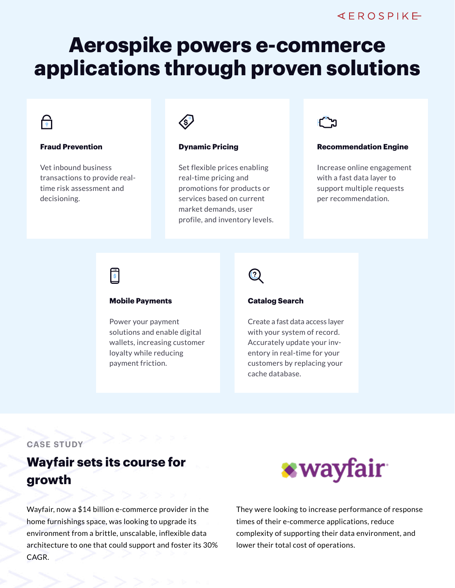# **Aerospike powers e-commerce applications through proven solutions**

# नि

#### **Fraud Prevention**

Vet inbound business transactions to provide realtime risk assessment and decisioning.



#### **Dynamic Pricing**

Set flexible prices enabling real-time pricing and promotions for products or services based on current market demands, user profile, and inventory levels.



#### **Recommendation Engine**

Increase online engagement with a fast data layer to support multiple requests per recommendation.

## 同

#### **Mobile Payments**

Power your payment solutions and enable digital wallets, increasing customer loyalty while reducing payment friction.

#### **Catalog Search**

 $\left( 3\right)$ 

Create a fast data access layer with your system of record. Accurately update your inventory in real-time for your customers by replacing your cache database.

#### **CASE STUDY**

### **Wayfair sets its course for growth**

Wayfair, now a \$14 billion e-commerce provider in the home furnishings space, was looking to upgrade its environment from a brittle, unscalable, inflexible data architecture to one that could support and foster its 30% CAGR.



They were looking to increase performance of response times of their e-commerce applications, reduce complexity of supporting their data environment, and lower their total cost of operations.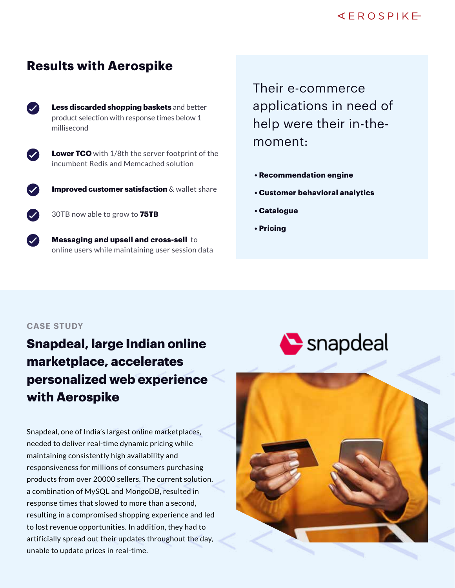#### $4EROSPIKE$

### **Results with Aerospike**



**Less discarded shopping baskets** and better product selection with response times below 1 millisecond

**Lower TCO** with 1/8th the server footprint of the incumbent Redis and Memcached solution



**Improved customer satisfaction** & wallet share

30TB now able to grow to **75TB**

**Messaging and upsell and cross-sell** to online users while maintaining user session data Their e-commerce applications in need of help were their in-themoment:

- **Recommendation engine**
- **Customer behavioral analytics**
- **Catalogue**
- **Pricing**

#### **CASE STUDY**

## **Snapdeal, large Indian online marketplace, accelerates personalized web experience with Aerospike**

Snapdeal, one of India's largest online marketplaces, needed to deliver real-time dynamic pricing while maintaining consistently high availability and responsiveness for millions of consumers purchasing products from over 20000 sellers. The current solution, a combination of MySQL and MongoDB, resulted in response times that slowed to more than a second, resulting in a compromised shopping experience and led to lost revenue opportunities. In addition, they had to artificially spread out their updates throughout the day, unable to update prices in real-time.